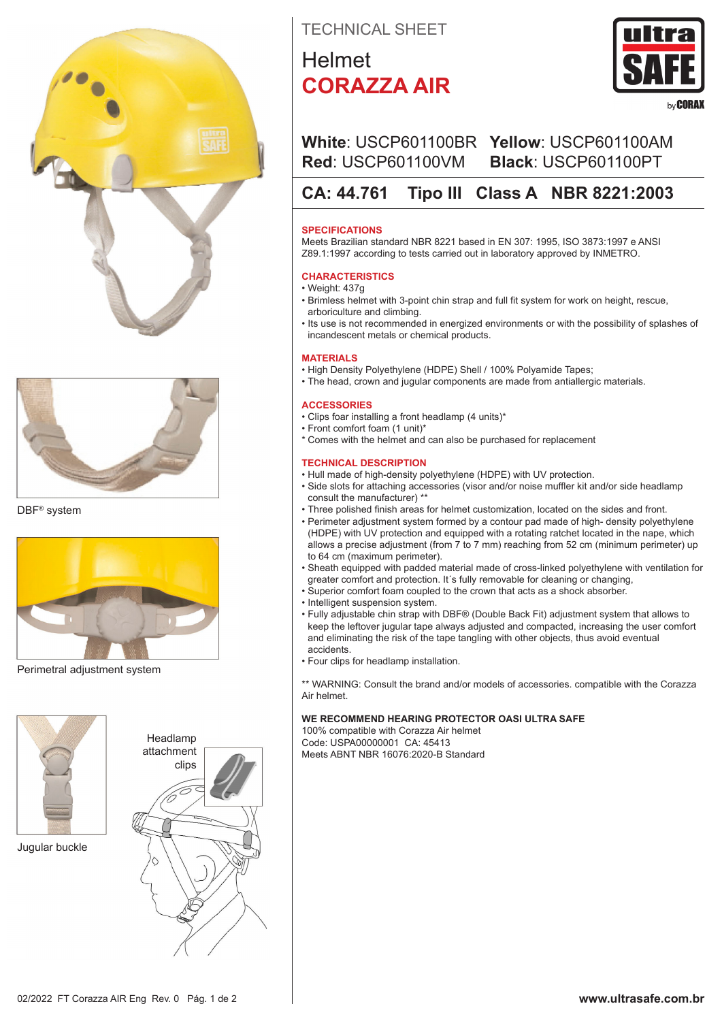



DBF® system



Perimetral adjustment system



Jugular buckle



TECHNICAL SHEET

# Helmet **CORAZZA AIR**



# **White**: USCP601100BR **Yellow**: USCP601100AM **Red**: USCP601100VM **Black**: USCP601100PT

# **CA: 44.761 Tipo III Class A NBR 8221:2003**

# **SPECIFICATIONS**

Meets Brazilian standard NBR 8221 based in EN 307: 1995, ISO 3873:1997 e ANSI Z89.1:1997 according to tests carried out in laboratory approved by INMETRO.

# **CHARACTERISTICS**

- Weight: 437g • Brimless helmet with 3-point chin strap and full fit system for work on height, rescue, arboriculture and climbing.
- Its use is not recommended in energized environments or with the possibility of splashes of incandescent metals or chemical products.

## **MATERIALS**

- High Density Polyethylene (HDPE) Shell / 100% Polyamide Tapes;
- The head, crown and jugular components are made from antiallergic materials.

#### **ACCESSORIES**

- Clips foar installing a front headlamp (4 units)\*
- Front comfort foam (1 unit)\*
- \* Comes with the helmet and can also be purchased for replacement

### **TECHNICAL DESCRIPTION**

- Hull made of high-density polyethylene (HDPE) with UV protection.
- Side slots for attaching accessories (visor and/or noise muffler kit and/or side headlamp consult the manufacturer) \*\*
- Three polished finish areas for helmet customization, located on the sides and front.
- Perimeter adjustment system formed by a contour pad made of high- density polyethylene (HDPE) with UV protection and equipped with a rotating ratchet located in the nape, which allows a precise adjustment (from 7 to 7 mm) reaching from 52 cm (minimum perimeter) up to 64 cm (maximum perimeter).
- Sheath equipped with padded material made of cross-linked polyethylene with ventilation for greater comfort and protection. It´s fully removable for cleaning or changing,
- Superior comfort foam coupled to the crown that acts as a shock absorber.
- Intelligent suspension system.
- Fully adjustable chin strap with DBF® (Double Back Fit) adjustment system that allows to keep the leftover jugular tape always adjusted and compacted, increasing the user comfort and eliminating the risk of the tape tangling with other objects, thus avoid eventual accidents.
- Four clips for headlamp installation.

\*\* WARNING: Consult the brand and/or models of accessories. compatible with the Corazza Air helmet.

# **WE RECOMMEND HEARING PROTECTOR OASI ULTRA SAFE**

100% compatible with Corazza Air helmet Code: USPA00000001 CA: 45413 Meets ABNT NBR 16076:2020-B Standard